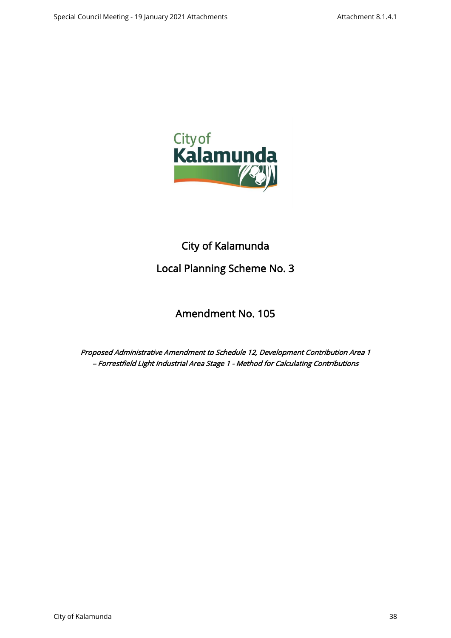

# City of Kalamunda Local Planning Scheme No. 3

## Amendment No. 105

Proposed Administrative Amendment to Schedule 12, Development Contribution Area 1 – Forrestfield Light Industrial Area Stage 1 - Method for Calculating Contributions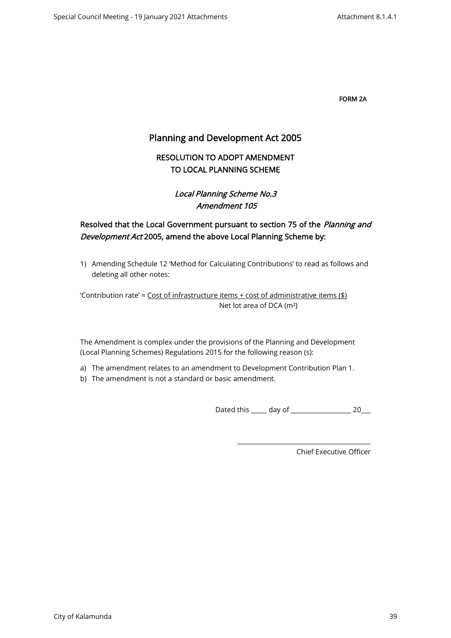FORM 2A

## Planning and Development Act 2005

## RESOLUTION TO ADOPT AMENDMENT TO LOCAL PLANNING SCHEME

## Local Planning Scheme No.3 Amendment 105

## Resolved that the Local Government pursuant to section 75 of the Planning and Development Act 2005, amend the above Local Planning Scheme by:

1) Amending Schedule 12 'Method for Calculating Contributions' to read as follows and deleting all other notes:

'Contribution rate' =  $Cost of infrastructure items + cost of administrative items ($ math> Net lot area of DCA (m²)

The Amendment is complex under the provisions of the Planning and Development (Local Planning Schemes) Regulations 2015 for the following reason (s):

- a) The amendment relates to an amendment to Development Contribution Plan 1.
- b) The amendment is not a standard or basic amendment.

Dated this \_\_\_\_\_ day of \_\_\_\_\_\_\_\_\_\_\_\_\_\_\_\_\_\_\_ 20\_\_\_

\_\_\_\_\_\_\_\_\_\_\_\_\_\_\_\_\_\_\_\_\_\_\_\_\_\_\_\_\_\_\_\_\_\_\_\_\_\_\_\_\_\_

Chief Executive Officer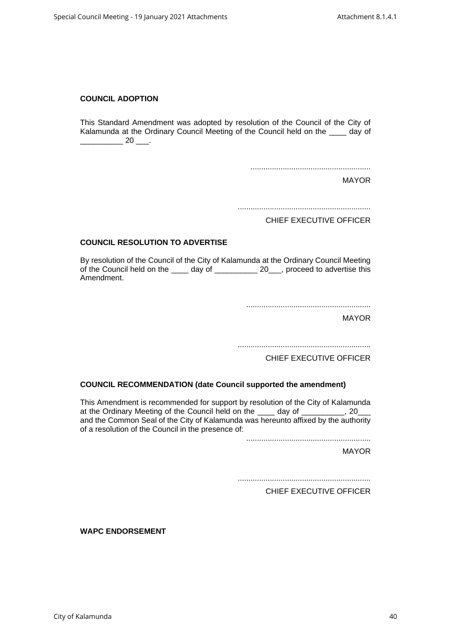#### **COUNCIL ADOPTION**

This Standard Amendment was adopted by resolution of the Council of the City of Kalamunda at the Ordinary Council Meeting of the Council held on the day of  $\frac{\phantom{0}}{\phantom{0}}$  20  $\frac{\phantom{0}}{\phantom{0}}$ .

........................................................

MAYOR

..............................................................

CHIEF EXECUTIVE OFFICER

#### **COUNCIL RESOLUTION TO ADVERTISE**

By resolution of the Council of the City of Kalamunda at the Ordinary Council Meeting of the Council held on the \_\_\_\_ day of \_\_\_\_\_\_\_\_\_\_ 20\_\_, proceed to advertise this Amendment.

..........................................................

MAYOR

..............................................................

CHIEF EXECUTIVE OFFICER

#### **COUNCIL RECOMMENDATION (date Council supported the amendment)**

This Amendment is recommended for support by resolution of the City of Kalamunda at the Ordinary Meeting of the Council held on the \_\_\_\_ day of \_\_\_\_\_\_\_\_\_, 20\_\_ and the Common Seal of the City of Kalamunda was hereunto affixed by the authority of a resolution of the Council in the presence of:

..........................................................

MAYOR

..............................................................

CHIEF EXECUTIVE OFFICER

**WAPC ENDORSEMENT**